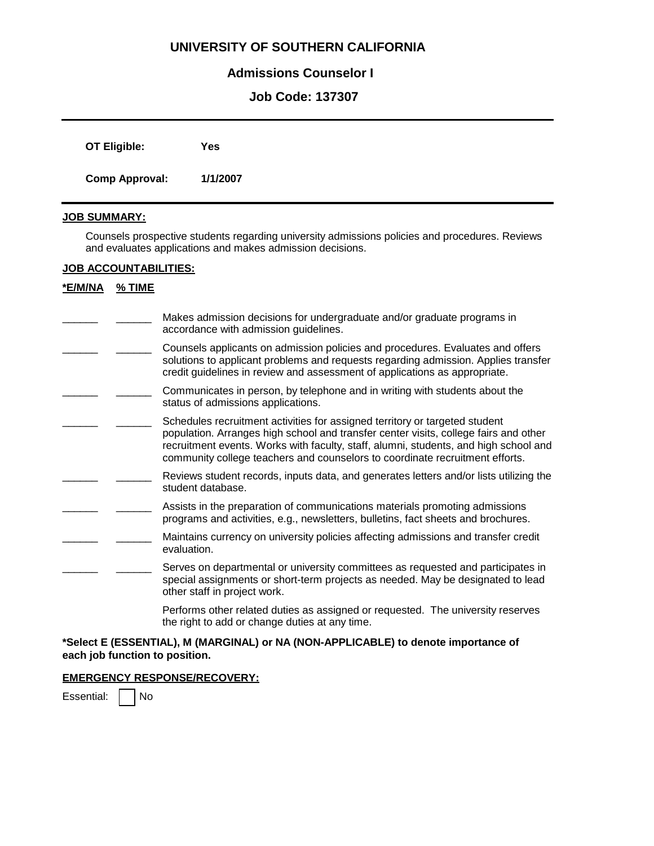# **UNIVERSITY OF SOUTHERN CALIFORNIA**

# **Admissions Counselor I**

# **Job Code: 137307**

| OT Eligible:          | Yes      |
|-----------------------|----------|
| <b>Comp Approval:</b> | 1/1/2007 |

# **JOB SUMMARY:**

Counsels prospective students regarding university admissions policies and procedures. Reviews and evaluates applications and makes admission decisions.

## **JOB ACCOUNTABILITIES:**

# **\*E/M/NA % TIME**

- Makes admission decisions for undergraduate and/or graduate programs in accordance with admission quidelines.  $\overline{\phantom{a}}$
- \_\_\_\_\_\_ Counsels applicants on admission policies and procedures. Evaluates and offers solutions to applicant problems and requests regarding admission. Applies transfer credit guidelines in review and assessment of applications as appropriate.  $\overline{\phantom{a}}$
- Communicates in person, by telephone and in writing with students about the status of admissions applications.  $\overline{\phantom{a}}$
- Schedules recruitment activities for assigned territory or targeted student population. Arranges high school and transfer center visits, college fairs and other recruitment events. Works with faculty, staff, alumni, students, and high school and community college teachers and counselors to coordinate recruitment efforts.  $\overline{\phantom{a}}$
- Reviews student records, inputs data, and generates letters and/or lists utilizing the student database.  $\overline{\phantom{a}}$
- \_\_\_\_\_\_ Assists in the preparation of communications materials promoting admissions programs and activities, e.g., newsletters, bulletins, fact sheets and brochures.  $\overline{\phantom{a}}$
- \_\_\_\_\_\_ Maintains currency on university policies affecting admissions and transfer credit evaluation.  $\overline{\phantom{a}}$
- Serves on departmental or university committees as requested and participates in special assignments or short-term projects as needed. May be designated to lead other staff in project work.  $\overline{\phantom{a}}$

Performs other related duties as assigned or requested. The university reserves the right to add or change duties at any time.

### **\*Select E (ESSENTIAL), M (MARGINAL) or NA (NON-APPLICABLE) to denote importance of each job function to position.**

### **EMERGENCY RESPONSE/RECOVERY:**

Essential: | No